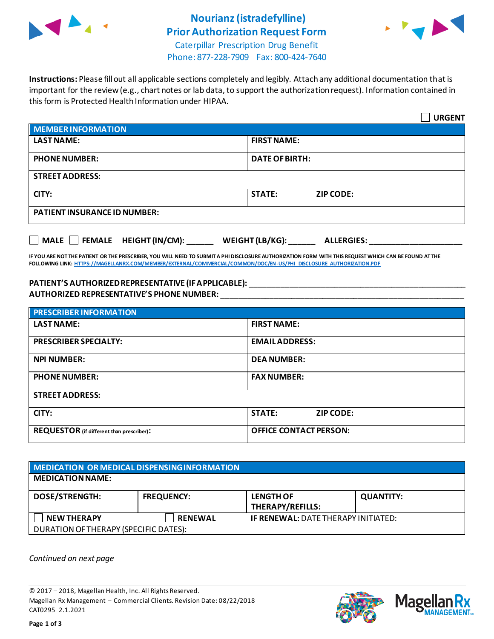

# **Nourianz (istradefylline) Prior Authorization Request Form**



Caterpillar Prescription Drug Benefit Phone: 877-228-7909 Fax: 800-424-7640

**Instructions:** Please fill out all applicable sections completely and legibly. Attach any additional documentation that is important for the review (e.g., chart notes or lab data, to support the authorization request). Information contained in this form is Protected Health Information under HIPAA.

|                                                                                   | <b>URGENT</b>                     |  |  |  |
|-----------------------------------------------------------------------------------|-----------------------------------|--|--|--|
| <b>MEMBER INFORMATION</b>                                                         |                                   |  |  |  |
| <b>LAST NAME:</b>                                                                 | <b>FIRST NAME:</b>                |  |  |  |
| <b>PHONE NUMBER:</b>                                                              | <b>DATE OF BIRTH:</b>             |  |  |  |
| <b>STREET ADDRESS:</b>                                                            |                                   |  |  |  |
| CITY:                                                                             | <b>STATE:</b><br><b>ZIP CODE:</b> |  |  |  |
| <b>PATIENT INSURANCE ID NUMBER:</b>                                               |                                   |  |  |  |
| $\Box$ MALE $\Box$ FEMALE HEIGHT (IN/CM):<br>WEIGHT (LB/KG):<br><b>ALLERGIES:</b> |                                   |  |  |  |

**IF YOU ARE NOT THE PATIENT OR THE PRESCRIBER, YOU WILL NEED TO SUBMIT A PHI DISCLOSURE AUTHORIZATION FORM WITH THIS REQUEST WHICH CAN BE FOUND AT THE FOLLOWING LINK[: HTTPS://MAGELLANRX.COM/MEMBER/EXTERNAL/COMMERCIAL/COMMON/DOC/EN-US/PHI\\_DISCLOSURE\\_AUTHORIZATION.PDF](https://magellanrx.com/member/external/commercial/common/doc/en-us/PHI_Disclosure_Authorization.pdf)**

### **PATIENT'S AUTHORIZED REPRESENTATIVE (IF APPLICABLE):** \_\_\_\_\_\_\_\_\_\_\_\_\_\_\_\_\_\_\_\_\_\_\_\_\_\_\_\_\_\_\_\_\_\_\_\_\_\_\_\_\_\_\_\_\_\_\_\_\_ **AUTHORIZED REPRESENTATIVE'S PHONE NUMBER:** \_\_\_\_\_\_\_\_\_\_\_\_\_\_\_\_\_\_\_\_\_\_\_\_\_\_\_\_\_\_\_\_\_\_\_\_\_\_\_\_\_\_\_\_\_\_\_\_\_\_\_\_\_\_\_

| <b>PRESCRIBER INFORMATION</b>             |                               |  |
|-------------------------------------------|-------------------------------|--|
| <b>LAST NAME:</b>                         | <b>FIRST NAME:</b>            |  |
| <b>PRESCRIBER SPECIALTY:</b>              | <b>EMAIL ADDRESS:</b>         |  |
| <b>NPI NUMBER:</b>                        | <b>DEA NUMBER:</b>            |  |
| <b>PHONE NUMBER:</b>                      | <b>FAX NUMBER:</b>            |  |
| <b>STREET ADDRESS:</b>                    |                               |  |
| CITY:                                     | <b>STATE:</b><br>ZIP CODE:    |  |
| REQUESTOR (if different than prescriber): | <b>OFFICE CONTACT PERSON:</b> |  |

| MEDICATION OR MEDICAL DISPENSING INFORMATION |                   |                                             |                  |  |  |
|----------------------------------------------|-------------------|---------------------------------------------|------------------|--|--|
| <b>MEDICATION NAME:</b>                      |                   |                                             |                  |  |  |
| <b>DOSE/STRENGTH:</b>                        | <b>FREQUENCY:</b> | <b>LENGTH OF</b><br><b>THERAPY/REFILLS:</b> | <b>QUANTITY:</b> |  |  |
| <b>NEW THERAPY</b>                           | <b>RENEWAL</b>    | <b>IF RENEWAL: DATE THERAPY INITIATED:</b>  |                  |  |  |
| DURATION OF THERAPY (SPECIFIC DATES):        |                   |                                             |                  |  |  |

*Continued on next page*

© 2017 – 2018, Magellan Health, Inc. All Rights Reserved. Magellan Rx Management – Commercial Clients. Revision Date: 08/22/2018 CAT0295 2.1.2021



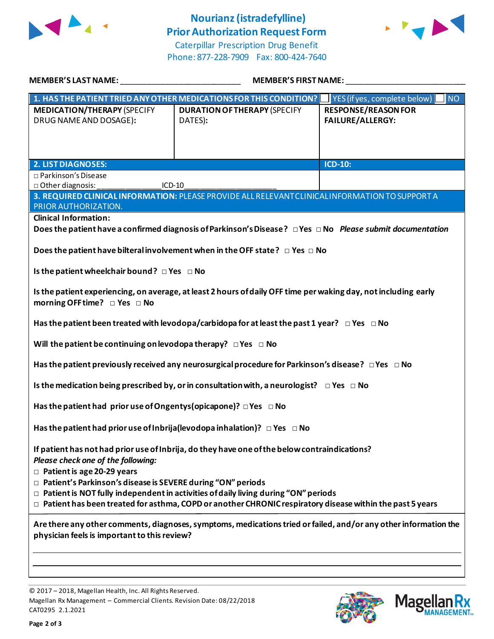

# **Nourianz (istradefylline) Prior Authorization Request Form**



Caterpillar Prescription Drug Benefit Phone: 877-228-7909 Fax: 800-424-7640

| MEMBER'S LAST NAME: THE STATE OF THE STATE OF THE STATE OF THE STATE OF THE STATE OF THE STATE OF THE STATE OF                                                                                                                                                                                                                                                                                                                                            | <b>MEMBER'S FIRST NAME:</b>                                                                              |                                           |  |  |
|-----------------------------------------------------------------------------------------------------------------------------------------------------------------------------------------------------------------------------------------------------------------------------------------------------------------------------------------------------------------------------------------------------------------------------------------------------------|----------------------------------------------------------------------------------------------------------|-------------------------------------------|--|--|
|                                                                                                                                                                                                                                                                                                                                                                                                                                                           | 1. HAS THE PATIENT TRIED ANY OTHER MEDICATIONS FOR THIS CONDITION?                                       | <b>NO</b><br>YES (if yes, complete below) |  |  |
| <b>MEDICATION/THERAPY (SPECIFY</b>                                                                                                                                                                                                                                                                                                                                                                                                                        | <b>DURATION OF THERAPY (SPECIFY</b>                                                                      | <b>RESPONSE/REASON FOR</b>                |  |  |
| DRUG NAME AND DOSAGE):                                                                                                                                                                                                                                                                                                                                                                                                                                    | DATES):                                                                                                  | <b>FAILURE/ALLERGY:</b>                   |  |  |
|                                                                                                                                                                                                                                                                                                                                                                                                                                                           |                                                                                                          |                                           |  |  |
|                                                                                                                                                                                                                                                                                                                                                                                                                                                           |                                                                                                          | $ICD-10$ :                                |  |  |
| <b>2. LIST DIAGNOSES:</b><br>□ Parkinson's Disease                                                                                                                                                                                                                                                                                                                                                                                                        |                                                                                                          |                                           |  |  |
| □ Other diagnosis:<br>ICD-10                                                                                                                                                                                                                                                                                                                                                                                                                              |                                                                                                          |                                           |  |  |
| PRIOR AUTHORIZATION.                                                                                                                                                                                                                                                                                                                                                                                                                                      | 3. REQUIRED CLINICAL INFORMATION: PLEASE PROVIDE ALL RELEVANT CLINICAL INFORMATION TO SUPPORT A          |                                           |  |  |
| <b>Clinical Information:</b>                                                                                                                                                                                                                                                                                                                                                                                                                              |                                                                                                          |                                           |  |  |
|                                                                                                                                                                                                                                                                                                                                                                                                                                                           | Does the patient have a confirmed diagnosis of Parkinson's Disease? DYes DNo Please submit documentation |                                           |  |  |
| Does the patient have bilteral involvement when in the OFF state? $\Box$ Yes $\Box$ No                                                                                                                                                                                                                                                                                                                                                                    |                                                                                                          |                                           |  |  |
| Is the patient wheelchair bound? $\Box$ Yes $\Box$ No                                                                                                                                                                                                                                                                                                                                                                                                     |                                                                                                          |                                           |  |  |
| Is the patient experiencing, on average, at least 2 hours of daily OFF time per waking day, not including early<br>morning OFF time? DYes D No                                                                                                                                                                                                                                                                                                            |                                                                                                          |                                           |  |  |
| Has the patient been treated with levodopa/carbidopa for at least the past 1 year? $\Box$ Yes $\Box$ No                                                                                                                                                                                                                                                                                                                                                   |                                                                                                          |                                           |  |  |
| Will the patient be continuing on levodopa therapy? $\Box$ Yes $\Box$ No                                                                                                                                                                                                                                                                                                                                                                                  |                                                                                                          |                                           |  |  |
| Has the patient previously received any neurosurgical procedure for Parkinson's disease? $\Box$ Yes $\Box$ No                                                                                                                                                                                                                                                                                                                                             |                                                                                                          |                                           |  |  |
| Is the medication being prescribed by, or in consultation with, a neurologist? $\Box$ Yes $\Box$ No                                                                                                                                                                                                                                                                                                                                                       |                                                                                                          |                                           |  |  |
| Has the patient had prior use of Ongentys (opicapone)? $\Box$ Yes $\Box$ No                                                                                                                                                                                                                                                                                                                                                                               |                                                                                                          |                                           |  |  |
| Has the patient had prior use of Inbrija (levodopa inhalation)? $\Box$ Yes $\Box$ No                                                                                                                                                                                                                                                                                                                                                                      |                                                                                                          |                                           |  |  |
| If patient has not had prior use of Inbrija, do they have one of the below contraindications?<br>Please check one of the following:<br>$\Box$ Patient is age 20-29 years<br>□ Patient's Parkinson's disease is SEVERE during "ON" periods<br>$\Box$ Patient is NOT fully independent in activities of daily living during "ON" periods<br>$\Box$ Patient has been treated for asthma, COPD or another CHRONIC respiratory disease within the past 5 years |                                                                                                          |                                           |  |  |
| Are there any other comments, diagnoses, symptoms, medications tried or failed, and/or any other information the<br>physician feels is important to this review?                                                                                                                                                                                                                                                                                          |                                                                                                          |                                           |  |  |
|                                                                                                                                                                                                                                                                                                                                                                                                                                                           |                                                                                                          |                                           |  |  |